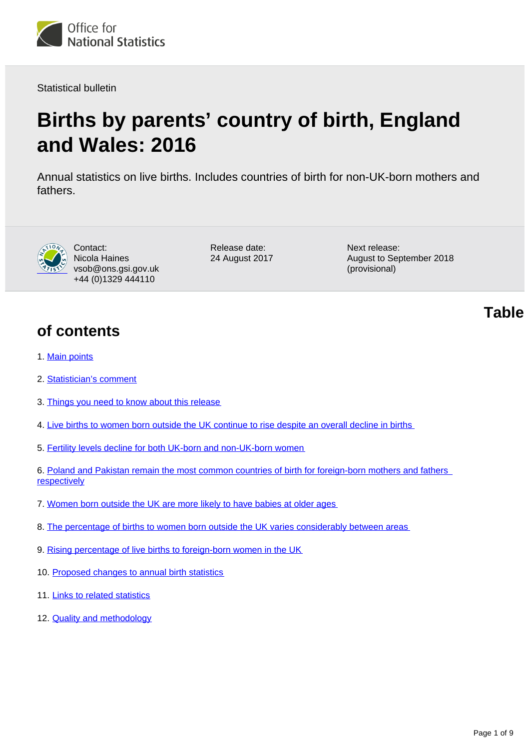

Statistical bulletin

# **Births by parents' country of birth, England and Wales: 2016**

Annual statistics on live births. Includes countries of birth for non-UK-born mothers and fathers.



Contact: Nicola Haines vsob@ons.gsi.gov.uk +44 (0)1329 444110

Release date: 24 August 2017 Next release: August to September 2018 (provisional)

**of contents**

- 1. [Main points](#page-1-0)
- 2. [Statistician's comment](#page-1-1)
- 3. [Things you need to know about this release](#page-1-2)
- 4. [Live births to women born outside the UK continue to rise despite an overall decline in births](#page-2-0)
- 5. [Fertility levels decline for both UK-born and non-UK-born women](#page-2-1)
- 6. [Poland and Pakistan remain the most common countries of birth for foreign-born mothers and fathers](#page-4-0)  **[respectively](#page-4-0)**
- 7. [Women born outside the UK are more likely to have babies at older ages](#page-5-0)
- 8. [The percentage of births to women born outside the UK varies considerably between areas](#page-6-0)
- 9. [Rising percentage of live births to foreign-born women in the UK](#page-7-0)
- 10. [Proposed changes to annual birth statistics](#page-7-1)
- 11. [Links to related statistics](#page-7-2)
- 12. **[Quality and methodology](#page-8-0)**

**Table**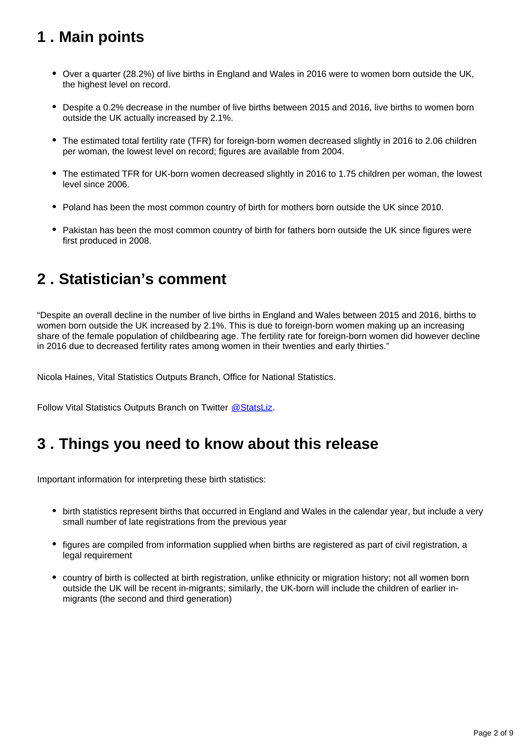# <span id="page-1-0"></span>**1 . Main points**

- Over a quarter (28.2%) of live births in England and Wales in 2016 were to women born outside the UK, the highest level on record.
- Despite a 0.2% decrease in the number of live births between 2015 and 2016, live births to women born outside the UK actually increased by 2.1%.
- The estimated total fertility rate (TFR) for foreign-born women decreased slightly in 2016 to 2.06 children per woman, the lowest level on record; figures are available from 2004.
- The estimated TFR for UK-born women decreased slightly in 2016 to 1.75 children per woman, the lowest level since 2006.
- Poland has been the most common country of birth for mothers born outside the UK since 2010.
- Pakistan has been the most common country of birth for fathers born outside the UK since figures were first produced in 2008.

### <span id="page-1-1"></span>**2 . Statistician's comment**

"Despite an overall decline in the number of live births in England and Wales between 2015 and 2016, births to women born outside the UK increased by 2.1%. This is due to foreign-born women making up an increasing share of the female population of childbearing age. The fertility rate for foreign-born women did however decline in 2016 due to decreased fertility rates among women in their twenties and early thirties."

Nicola Haines, Vital Statistics Outputs Branch, Office for National Statistics.

Follow Vital Statistics Outputs Branch on Twitter @ StatsLiz.

### <span id="page-1-2"></span>**3 . Things you need to know about this release**

Important information for interpreting these birth statistics:

- birth statistics represent births that occurred in England and Wales in the calendar year, but include a very small number of late registrations from the previous year
- figures are compiled from information supplied when births are registered as part of civil registration, a legal requirement
- country of birth is collected at birth registration, unlike ethnicity or migration history; not all women born outside the UK will be recent in-migrants; similarly, the UK-born will include the children of earlier inmigrants (the second and third generation)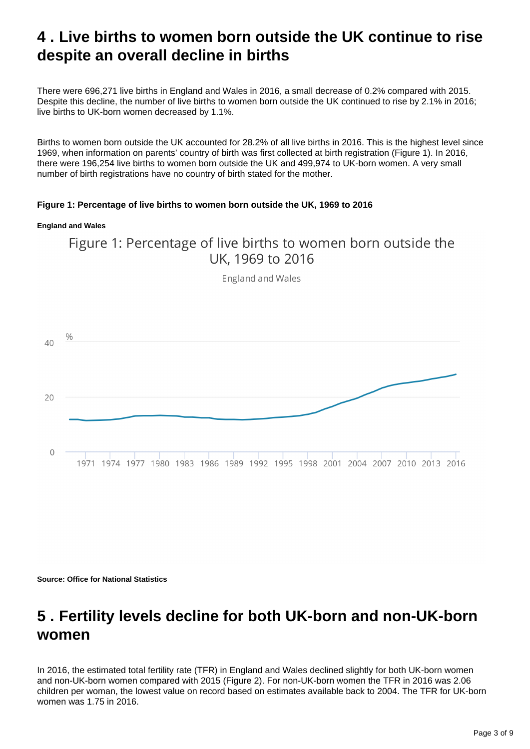### <span id="page-2-0"></span>**4 . Live births to women born outside the UK continue to rise despite an overall decline in births**

There were 696,271 live births in England and Wales in 2016, a small decrease of 0.2% compared with 2015. Despite this decline, the number of live births to women born outside the UK continued to rise by 2.1% in 2016; live births to UK-born women decreased by 1.1%.

Births to women born outside the UK accounted for 28.2% of all live births in 2016. This is the highest level since 1969, when information on parents' country of birth was first collected at birth registration (Figure 1). In 2016, there were 196,254 live births to women born outside the UK and 499,974 to UK-born women. A very small number of birth registrations have no country of birth stated for the mother.

#### **Figure 1: Percentage of live births to women born outside the UK, 1969 to 2016**

#### **England and Wales**



England and Wales



**Source: Office for National Statistics**

### <span id="page-2-1"></span>**5 . Fertility levels decline for both UK-born and non-UK-born women**

In 2016, the estimated total fertility rate (TFR) in England and Wales declined slightly for both UK-born women and non-UK-born women compared with 2015 (Figure 2). For non-UK-born women the TFR in 2016 was 2.06 children per woman, the lowest value on record based on estimates available back to 2004. The TFR for UK-born women was 1.75 in 2016.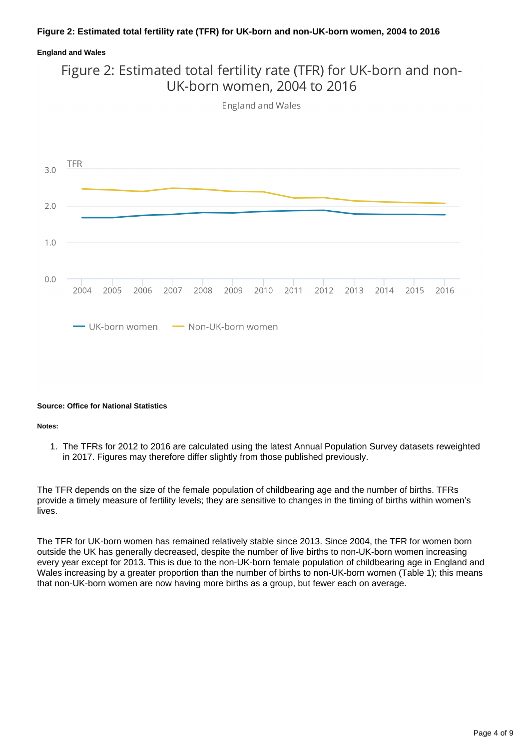#### **Figure 2: Estimated total fertility rate (TFR) for UK-born and non-UK-born women, 2004 to 2016**

#### **England and Wales**

### Figure 2: Estimated total fertility rate (TFR) for UK-born and non-UK-born women, 2004 to 2016

England and Wales



#### **Source: Office for National Statistics**

#### **Notes:**

1. The TFRs for 2012 to 2016 are calculated using the latest Annual Population Survey datasets reweighted in 2017. Figures may therefore differ slightly from those published previously.

The TFR depends on the size of the female population of childbearing age and the number of births. TFRs provide a timely measure of fertility levels; they are sensitive to changes in the timing of births within women's lives.

The TFR for UK-born women has remained relatively stable since 2013. Since 2004, the TFR for women born outside the UK has generally decreased, despite the number of live births to non-UK-born women increasing every year except for 2013. This is due to the non-UK-born female population of childbearing age in England and Wales increasing by a greater proportion than the number of births to non-UK-born women (Table 1); this means that non-UK-born women are now having more births as a group, but fewer each on average.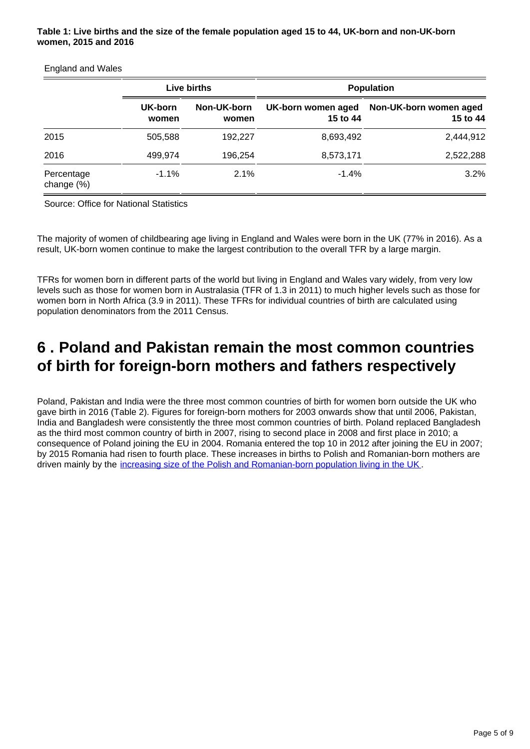#### **Table 1: Live births and the size of the female population aged 15 to 44, UK-born and non-UK-born women, 2015 and 2016**

#### England and Wales

|                          |                  | Live births          | <b>Population</b>              |                                    |  |
|--------------------------|------------------|----------------------|--------------------------------|------------------------------------|--|
|                          | UK-born<br>women | Non-UK-born<br>women | UK-born women aged<br>15 to 44 | Non-UK-born women aged<br>15 to 44 |  |
| 2015                     | 505,588          | 192.227              | 8,693,492                      | 2,444,912                          |  |
| 2016                     | 499,974          | 196,254              | 8,573,171                      | 2,522,288                          |  |
| Percentage<br>change (%) | $-1.1\%$         | 2.1%                 | $-1.4%$                        | 3.2%                               |  |

Source: Office for National Statistics

The majority of women of childbearing age living in England and Wales were born in the UK (77% in 2016). As a result, UK-born women continue to make the largest contribution to the overall TFR by a large margin.

TFRs for women born in different parts of the world but living in England and Wales vary widely, from very low levels such as those for women born in Australasia (TFR of 1.3 in 2011) to much higher levels such as those for women born in North Africa (3.9 in 2011). These TFRs for individual countries of birth are calculated using population denominators from the 2011 Census.

### <span id="page-4-0"></span>**6 . Poland and Pakistan remain the most common countries of birth for foreign-born mothers and fathers respectively**

Poland, Pakistan and India were the three most common countries of birth for women born outside the UK who gave birth in 2016 (Table 2). Figures for foreign-born mothers for 2003 onwards show that until 2006, Pakistan, India and Bangladesh were consistently the three most common countries of birth. Poland replaced Bangladesh as the third most common country of birth in 2007, rising to second place in 2008 and first place in 2010; a consequence of Poland joining the EU in 2004. Romania entered the top 10 in 2012 after joining the EU in 2007; by 2015 Romania had risen to fourth place. These increases in births to Polish and Romanian-born mothers are driven mainly by the [increasing size of the Polish and Romanian-born population living in the UK](https://www.ons.gov.uk/peoplepopulationandcommunity/populationandmigration/internationalmigration/datasets/populationoftheunitedkingdombycountryofbirthandnationality) .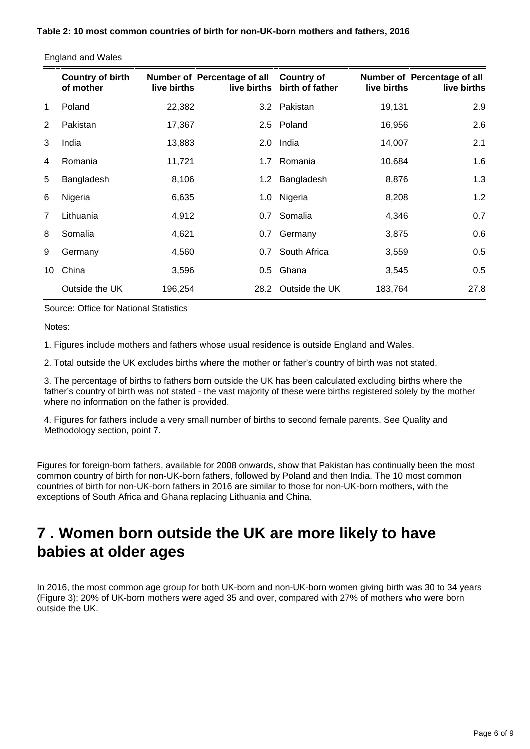|    | <b>Country of birth</b><br>of mother | live births | Number of Percentage of all | <b>Country of</b><br>live births birth of father | live births | Number of Percentage of all<br>live births |
|----|--------------------------------------|-------------|-----------------------------|--------------------------------------------------|-------------|--------------------------------------------|
|    | Poland                               | 22,382      |                             | 3.2 Pakistan                                     | 19,131      | 2.9                                        |
| 2  | Pakistan                             | 17,367      |                             | 2.5 Poland                                       | 16,956      | 2.6                                        |
| 3  | India                                | 13,883      |                             | 2.0 India                                        | 14,007      | 2.1                                        |
| 4  | Romania                              | 11,721      |                             | 1.7 Romania                                      | 10,684      | 1.6                                        |
| 5  | Bangladesh                           | 8,106       | 1.2 <sub>1</sub>            | Bangladesh                                       | 8,876       | 1.3                                        |
| 6  | Nigeria                              | 6,635       |                             | 1.0 Nigeria                                      | 8,208       | 1.2                                        |
| 7  | Lithuania                            | 4,912       | 0.7                         | Somalia                                          | 4,346       | 0.7                                        |
| 8  | Somalia                              | 4,621       | 0.7                         | Germany                                          | 3,875       | 0.6                                        |
| 9  | Germany                              | 4,560       | 0.7                         | South Africa                                     | 3,559       | 0.5                                        |
| 10 | China                                | 3,596       |                             | 0.5 Ghana                                        | 3,545       | 0.5                                        |
|    | Outside the UK                       | 196,254     |                             | 28.2 Outside the UK                              | 183,764     | 27.8                                       |

England and Wales

Source: Office for National Statistics

Notes:

1. Figures include mothers and fathers whose usual residence is outside England and Wales.

2. Total outside the UK excludes births where the mother or father's country of birth was not stated.

3. The percentage of births to fathers born outside the UK has been calculated excluding births where the father's country of birth was not stated - the vast majority of these were births registered solely by the mother where no information on the father is provided.

4. Figures for fathers include a very small number of births to second female parents. See Quality and Methodology section, point 7.

Figures for foreign-born fathers, available for 2008 onwards, show that Pakistan has continually been the most common country of birth for non-UK-born fathers, followed by Poland and then India. The 10 most common countries of birth for non-UK-born fathers in 2016 are similar to those for non-UK-born mothers, with the exceptions of South Africa and Ghana replacing Lithuania and China.

### <span id="page-5-0"></span>**7 . Women born outside the UK are more likely to have babies at older ages**

In 2016, the most common age group for both UK-born and non-UK-born women giving birth was 30 to 34 years (Figure 3); 20% of UK-born mothers were aged 35 and over, compared with 27% of mothers who were born outside the UK.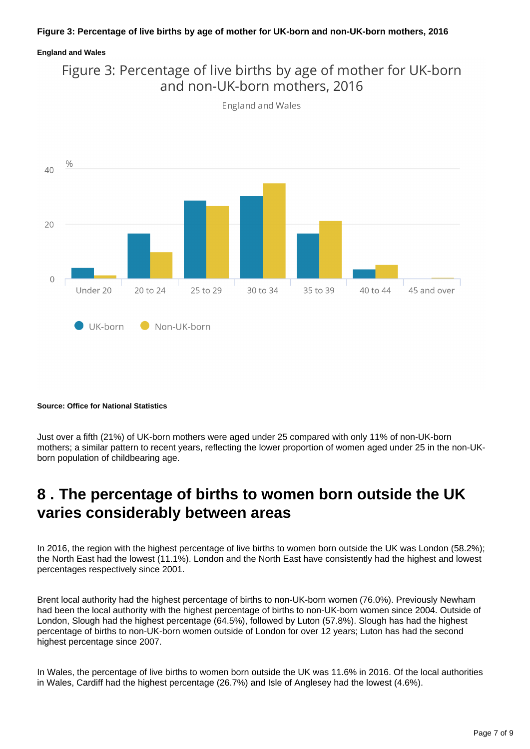#### **Figure 3: Percentage of live births by age of mother for UK-born and non-UK-born mothers, 2016**

#### **England and Wales**





**England and Wales** 

#### **Source: Office for National Statistics**

Just over a fifth (21%) of UK-born mothers were aged under 25 compared with only 11% of non-UK-born mothers; a similar pattern to recent years, reflecting the lower proportion of women aged under 25 in the non-UKborn population of childbearing age.

### <span id="page-6-0"></span>**8 . The percentage of births to women born outside the UK varies considerably between areas**

In 2016, the region with the highest percentage of live births to women born outside the UK was London (58.2%); the North East had the lowest (11.1%). London and the North East have consistently had the highest and lowest percentages respectively since 2001.

Brent local authority had the highest percentage of births to non-UK-born women (76.0%). Previously Newham had been the local authority with the highest percentage of births to non-UK-born women since 2004. Outside of London, Slough had the highest percentage (64.5%), followed by Luton (57.8%). Slough has had the highest percentage of births to non-UK-born women outside of London for over 12 years; Luton has had the second highest percentage since 2007.

In Wales, the percentage of live births to women born outside the UK was 11.6% in 2016. Of the local authorities in Wales, Cardiff had the highest percentage (26.7%) and Isle of Anglesey had the lowest (4.6%).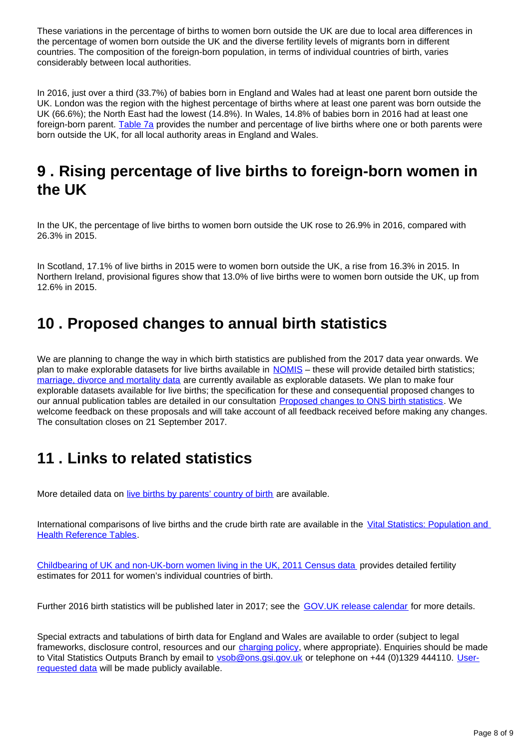These variations in the percentage of births to women born outside the UK are due to local area differences in the percentage of women born outside the UK and the diverse fertility levels of migrants born in different countries. The composition of the foreign-born population, in terms of individual countries of birth, varies considerably between local authorities.

In 2016, just over a third (33.7%) of babies born in England and Wales had at least one parent born outside the UK. London was the region with the highest percentage of births where at least one parent was born outside the UK (66.6%); the North East had the lowest (14.8%). In Wales, 14.8% of babies born in 2016 had at least one foreign-born parent. [Table 7a](https://www.ons.gov.uk/peoplepopulationandcommunity/birthsdeathsandmarriages/livebirths/datasets/parentscountryofbirth) provides the number and percentage of live births where one or both parents were born outside the UK, for all local authority areas in England and Wales.

### <span id="page-7-0"></span>**9 . Rising percentage of live births to foreign-born women in the UK**

In the UK, the percentage of live births to women born outside the UK rose to 26.9% in 2016, compared with 26.3% in 2015.

In Scotland, 17.1% of live births in 2015 were to women born outside the UK, a rise from 16.3% in 2015. In Northern Ireland, provisional figures show that 13.0% of live births were to women born outside the UK, up from 12.6% in 2015.

### <span id="page-7-1"></span>**10 . Proposed changes to annual birth statistics**

We are planning to change the way in which birth statistics are published from the 2017 data year onwards. We plan to make explorable datasets for live births available in [NOMIS](https://www.nomisweb.co.uk/) – these will provide detailed birth statistics; [marriage, divorce and mortality data](https://www.nomisweb.co.uk/query/select/getdatasetbytheme.asp?theme=73) are currently available as explorable datasets. We plan to make four explorable datasets available for live births; the specification for these and consequential proposed changes to our annual publication tables are detailed in our consultation [Proposed changes to ONS birth statistics](https://consultations.ons.gov.uk/health-and-life-events/proposed-changes-to-ons-birth-statistics). We welcome feedback on these proposals and will take account of all feedback received before making any changes. The consultation closes on 21 September 2017.

# <span id="page-7-2"></span>**11 . Links to related statistics**

More detailed data on [live births by parents' country of birth](https://www.ons.gov.uk/peoplepopulationandcommunity/birthsdeathsandmarriages/livebirths/datasets/parentscountryofbirth) are available.

International comparisons of live births and the crude birth rate are available in the [Vital Statistics: Population and](http://www.ons.gov.uk/peoplepopulationandcommunity/populationandmigration/populationestimates/datasets/vitalstatisticspopulationandhealthreferencetables)  [Health Reference Tables.](http://www.ons.gov.uk/peoplepopulationandcommunity/populationandmigration/populationestimates/datasets/vitalstatisticspopulationandhealthreferencetables)

[Childbearing of UK and non-UK-born women living in the UK, 2011 Census data](http://webarchive.nationalarchives.gov.uk/20160105160709/http:/www.ons.gov.uk/ons/rel/fertility-analysis/childbearing-of-uk-and-non-uk-born-women-living-in-the-uk/2011-census-data/index.html) provides detailed fertility estimates for 2011 for women's individual countries of birth.

Further 2016 birth statistics will be published later in 2017; see the [GOV.UK release calendar](https://www.gov.uk/government/statistics/announcements) for more details.

Special extracts and tabulations of birth data for England and Wales are available to order (subject to legal frameworks, disclosure control, resources and our [charging policy,](http://www.ons.gov.uk/aboutus/whatwedo/statistics/publicationscheme) where appropriate). Enquiries should be made to Vital Statistics Outputs Branch by email to **vsob@ons.gsi.gov.uk** or telephone on +44 (0)1329 444110. [User](http://www.ons.gov.uk/peoplepopulationandcommunity/birthsdeathsandmarriages/livebirths/datalist?sortBy=release_date&filter=user_requested_data)[requested data](http://www.ons.gov.uk/peoplepopulationandcommunity/birthsdeathsandmarriages/livebirths/datalist?sortBy=release_date&filter=user_requested_data) will be made publicly available.